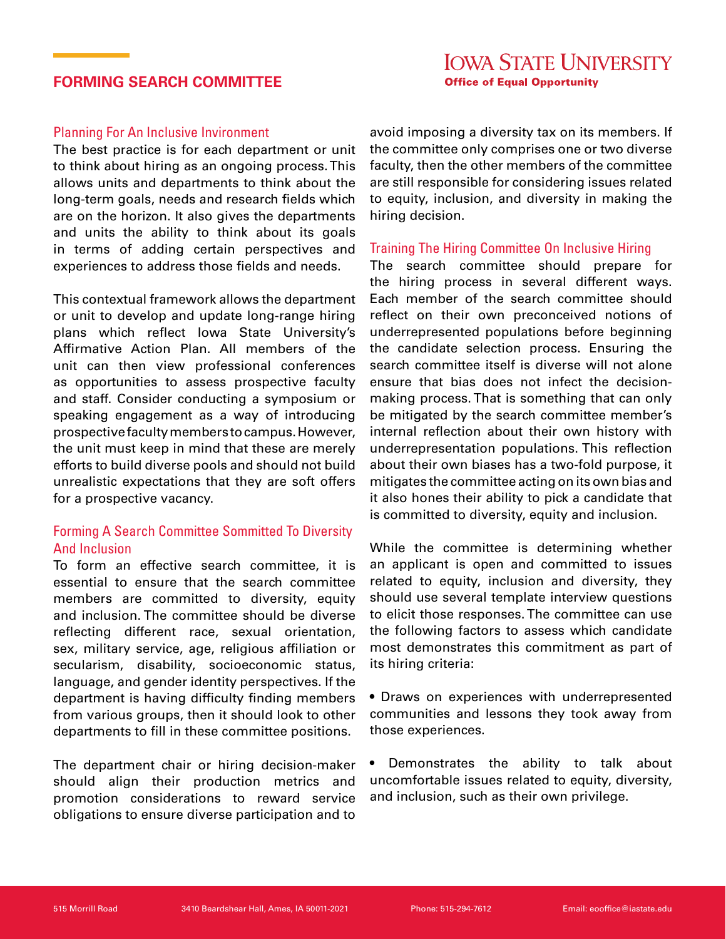## **FORMING SEARCH COMMITTEE**

### Planning For An Inclusive Invironment

The best practice is for each department or unit to think about hiring as an ongoing process. This allows units and departments to think about the long-term goals, needs and research fields which are on the horizon. It also gives the departments and units the ability to think about its goals in terms of adding certain perspectives and experiences to address those fields and needs.

This contextual framework allows the department or unit to develop and update long-range hiring plans which reflect Iowa State University's Affirmative Action Plan. All members of the unit can then view professional conferences as opportunities to assess prospective faculty and staff. Consider conducting a symposium or speaking engagement as a way of introducing prospective faculty members to campus. However, the unit must keep in mind that these are merely efforts to build diverse pools and should not build unrealistic expectations that they are soft offers for a prospective vacancy.

## Forming A Search Committee Sommitted To Diversity And Inclusion

To form an effective search committee, it is essential to ensure that the search committee members are committed to diversity, equity and inclusion. The committee should be diverse reflecting different race, sexual orientation, sex, military service, age, religious affiliation or secularism, disability, socioeconomic status, language, and gender identity perspectives. If the department is having difficulty finding members from various groups, then it should look to other departments to fill in these committee positions.

The department chair or hiring decision-maker should align their production metrics and promotion considerations to reward service obligations to ensure diverse participation and to

avoid imposing a diversity tax on its members. If the committee only comprises one or two diverse faculty, then the other members of the committee are still responsible for considering issues related to equity, inclusion, and diversity in making the hiring decision.

### Training The Hiring Committee On Inclusive Hiring

The search committee should prepare for the hiring process in several different ways. Each member of the search committee should reflect on their own preconceived notions of underrepresented populations before beginning the candidate selection process. Ensuring the search committee itself is diverse will not alone ensure that bias does not infect the decisionmaking process. That is something that can only be mitigated by the search committee member's internal reflection about their own history with underrepresentation populations. This reflection about their own biases has a two-fold purpose, it mitigates the committee acting on its own bias and it also hones their ability to pick a candidate that is committed to diversity, equity and inclusion.

While the committee is determining whether an applicant is open and committed to issues related to equity, inclusion and diversity, they should use several template interview questions to elicit those responses. The committee can use the following factors to assess which candidate most demonstrates this commitment as part of its hiring criteria:

• Draws on experiences with underrepresented communities and lessons they took away from those experiences.

• Demonstrates the ability to talk about uncomfortable issues related to equity, diversity, and inclusion, such as their own privilege.